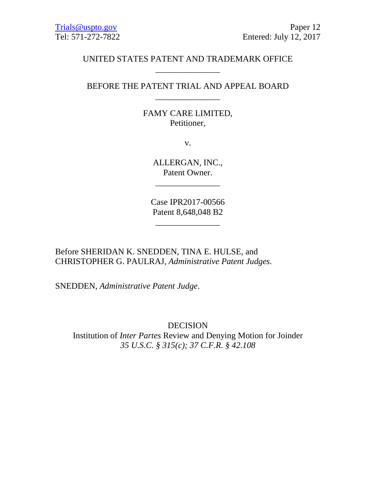## UNITED STATES PATENT AND TRADEMARK OFFICE \_\_\_\_\_\_\_\_\_\_\_\_\_\_\_

BEFORE THE PATENT TRIAL AND APPEAL BOARD \_\_\_\_\_\_\_\_\_\_\_\_\_\_\_

## FAMY CARE LIMITED, Petitioner,

v.

ALLERGAN, INC., Patent Owner.

\_\_\_\_\_\_\_\_\_\_\_\_\_\_\_

Case IPR2017-00566 Patent 8,648,048 B2

\_\_\_\_\_\_\_\_\_\_\_\_\_\_\_

Before SHERIDAN K. SNEDDEN, TINA E. HULSE, and CHRISTOPHER G. PAULRAJ, *Administrative Patent Judges.* 

SNEDDEN, *Administrative Patent Judge*.

DECISION Institution of *Inter Partes* Review and Denying Motion for Joinder *35 U.S.C. § 315(c); 37 C.F.R. § 42.108*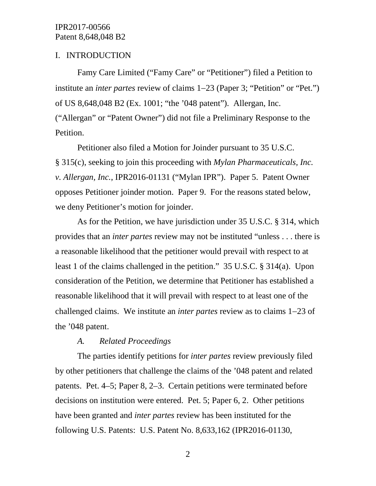## I. INTRODUCTION

Famy Care Limited ("Famy Care" or "Petitioner") filed a Petition to institute an *inter partes* review of claims 1−23 (Paper 3; "Petition" or "Pet.") of US 8,648,048 B2 (Ex. 1001; "the '048 patent"). Allergan, Inc. ("Allergan" or "Patent Owner") did not file a Preliminary Response to the Petition.

Petitioner also filed a Motion for Joinder pursuant to 35 U.S.C. § 315(c), seeking to join this proceeding with *Mylan Pharmaceuticals, Inc. v. Allergan, Inc.*, IPR2016-01131 ("Mylan IPR"). Paper 5. Patent Owner opposes Petitioner joinder motion. Paper 9. For the reasons stated below, we deny Petitioner's motion for joinder.

As for the Petition, we have jurisdiction under 35 U.S.C. § 314, which provides that an *inter partes* review may not be instituted "unless . . . there is a reasonable likelihood that the petitioner would prevail with respect to at least 1 of the claims challenged in the petition." 35 U.S.C. § 314(a). Upon consideration of the Petition, we determine that Petitioner has established a reasonable likelihood that it will prevail with respect to at least one of the challenged claims. We institute an *inter partes* review as to claims 1−23 of the '048 patent.

### *A. Related Proceedings*

The parties identify petitions for *inter partes* review previously filed by other petitioners that challenge the claims of the '048 patent and related patents. Pet. 4–5; Paper 8, 2–3. Certain petitions were terminated before decisions on institution were entered. Pet. 5; Paper 6, 2. Other petitions have been granted and *inter partes* review has been instituted for the following U.S. Patents: U.S. Patent No. 8,633,162 (IPR2016-01130,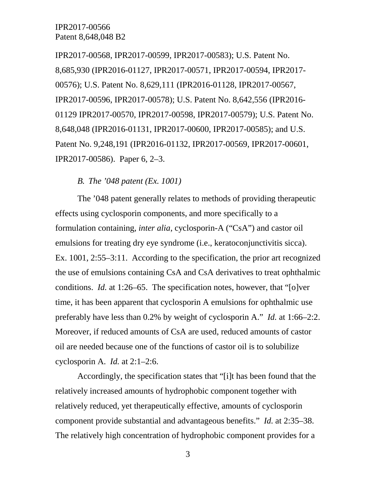IPR2017-00568, IPR2017-00599, IPR2017-00583); U.S. Patent No. 8,685,930 (IPR2016-01127, IPR2017-00571, IPR2017-00594, IPR2017- 00576); U.S. Patent No. 8,629,111 (IPR2016-01128, IPR2017-00567, IPR2017-00596, IPR2017-00578); U.S. Patent No. 8,642,556 (IPR2016- 01129 IPR2017-00570, IPR2017-00598, IPR2017-00579); U.S. Patent No. 8,648,048 (IPR2016-01131, IPR2017-00600, IPR2017-00585); and U.S. Patent No. 9,248,191 (IPR2016-01132, IPR2017-00569, IPR2017-00601, IPR2017-00586). Paper 6, 2–3.

## *B. The '048 patent (Ex. 1001)*

The '048 patent generally relates to methods of providing therapeutic effects using cyclosporin components, and more specifically to a formulation containing, *inter alia*, cyclosporin-A ("CsA") and castor oil emulsions for treating dry eye syndrome (i.e., keratoconjunctivitis sicca). Ex. 1001, 2:55–3:11. According to the specification, the prior art recognized the use of emulsions containing CsA and CsA derivatives to treat ophthalmic conditions. *Id.* at 1:26–65. The specification notes, however, that "[o]ver time, it has been apparent that cyclosporin A emulsions for ophthalmic use preferably have less than 0.2% by weight of cyclosporin A." *Id.* at 1:66–2:2. Moreover, if reduced amounts of CsA are used, reduced amounts of castor oil are needed because one of the functions of castor oil is to solubilize cyclosporin A. *Id.* at 2:1–2:6.

Accordingly, the specification states that "[i]t has been found that the relatively increased amounts of hydrophobic component together with relatively reduced, yet therapeutically effective, amounts of cyclosporin component provide substantial and advantageous benefits." *Id.* at 2:35–38. The relatively high concentration of hydrophobic component provides for a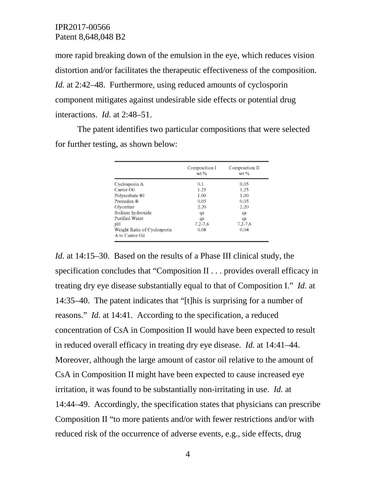more rapid breaking down of the emulsion in the eye, which reduces vision distortion and/or facilitates the therapeutic effectiveness of the composition. *Id.* at 2:42–48. Furthermore, using reduced amounts of cyclosporin component mitigates against undesirable side effects or potential drug interactions. *Id.* at 2:48–51.

The patent identifies two particular compositions that were selected for further testing, as shown below:

|                                                | Composition I<br>$wt$ % | Composition II<br>wt % |
|------------------------------------------------|-------------------------|------------------------|
| Cyclosporin A                                  | 0.1                     | 0.05                   |
| Castor Oil                                     | 1.25                    | 1.25                   |
| Polysorbate 80                                 | 1.00                    | 1.00                   |
| Premulen ®                                     | 0.05                    | 0.05                   |
| Glycerine                                      | 2.20                    | 2.20                   |
| Sodium hydroxide                               | qs                      | qs                     |
| Purified Water                                 | qs                      | qs                     |
| pН                                             | $7.2 - 7.6$             | $7.2 - 7.6$            |
| Weight Ratio of Cyclosporin<br>A to Castor Oil | 0.08                    | 0.04                   |

*Id.* at 14:15–30. Based on the results of a Phase III clinical study, the specification concludes that "Composition II . . . provides overall efficacy in treating dry eye disease substantially equal to that of Composition I." *Id.* at 14:35–40. The patent indicates that "[t]his is surprising for a number of reasons." *Id.* at 14:41. According to the specification, a reduced concentration of CsA in Composition II would have been expected to result in reduced overall efficacy in treating dry eye disease. *Id.* at 14:41–44. Moreover, although the large amount of castor oil relative to the amount of CsA in Composition II might have been expected to cause increased eye irritation, it was found to be substantially non-irritating in use. *Id.* at 14:44–49. Accordingly, the specification states that physicians can prescribe Composition II "to more patients and/or with fewer restrictions and/or with reduced risk of the occurrence of adverse events, e.g., side effects, drug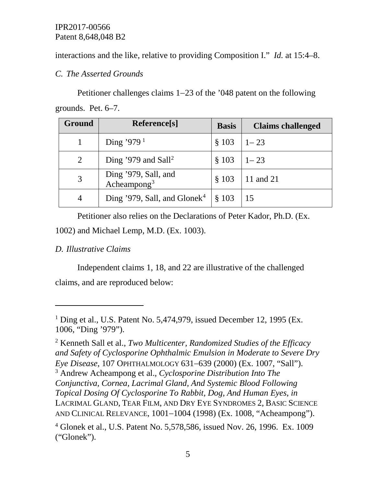interactions and the like, relative to providing Composition I." *Id.* at 15:4–8.

*C. The Asserted Grounds*

Petitioner challenges claims 1−23 of the '048 patent on the following grounds. Pet. 6–7.

| Ground | Reference[s]                                    | <b>Basis</b> | <b>Claims challenged</b> |
|--------|-------------------------------------------------|--------------|--------------------------|
|        | Ding '979 <sup>1</sup>                          | \$103        | $1 - 23$                 |
| 2      | Ding '979 and Sall <sup>2</sup>                 | \$103        | $1 - 23$                 |
|        | Ding '979, Sall, and<br>Acheampong <sup>3</sup> | \$103        | 11 and 21                |
| 4      | Ding '979, Sall, and Glonek <sup>4</sup>        | \$103        | -15                      |

Petitioner also relies on the Declarations of Peter Kador, Ph.D. (Ex.

1002) and Michael Lemp, M.D. (Ex. 1003).

# *D. Illustrative Claims*

 $\overline{a}$ 

Independent claims 1, 18, and 22 are illustrative of the challenged claims, and are reproduced below:

<span id="page-4-2"></span><span id="page-4-1"></span><sup>2</sup> Kenneth Sall et al., *Two Multicenter, Randomized Studies of the Efficacy and Safety of Cyclosporine Ophthalmic Emulsion in Moderate to Severe Dry Eye Disease*, 107 OPHTHALMOLOGY 631−639 (2000) (Ex. 1007, "Sall"). <sup>3</sup> Andrew Acheampong et al., *Cyclosporine Distribution Into The Conjunctiva, Cornea, Lacrimal Gland, And Systemic Blood Following Topical Dosing Of Cyclosporine To Rabbit, Dog, And Human Eyes*, *in* LACRIMAL GLAND, TEAR FILM, AND DRY EYE SYNDROMES 2, BASIC SCIENCE AND CLINICAL RELEVANCE, 1001−1004 (1998) (Ex. 1008, "Acheampong").

<span id="page-4-0"></span><sup>&</sup>lt;sup>1</sup> Ding et al., U.S. Patent No. 5,474,979, issued December 12, 1995 (Ex. 1006, "Ding '979").

<span id="page-4-3"></span><sup>4</sup> Glonek et al., U.S. Patent No. 5,578,586, issued Nov. 26, 1996. Ex. 1009 ("Glonek").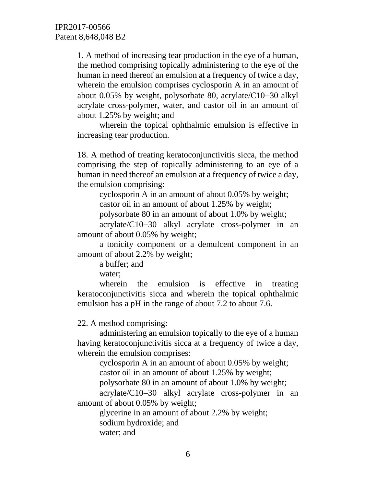1. A method of increasing tear production in the eye of a human, the method comprising topically administering to the eye of the human in need thereof an emulsion at a frequency of twice a day, wherein the emulsion comprises cyclosporin A in an amount of about 0.05% by weight, polysorbate 80, acrylate/C10−30 alkyl acrylate cross-polymer, water, and castor oil in an amount of about 1.25% by weight; and

wherein the topical ophthalmic emulsion is effective in increasing tear production.

18. A method of treating keratoconjunctivitis sicca, the method comprising the step of topically administering to an eye of a human in need thereof an emulsion at a frequency of twice a day, the emulsion comprising:

cyclosporin A in an amount of about 0.05% by weight; castor oil in an amount of about 1.25% by weight;

polysorbate 80 in an amount of about 1.0% by weight;

acrylate/C10−30 alkyl acrylate cross-polymer in an amount of about 0.05% by weight;

a tonicity component or a demulcent component in an amount of about 2.2% by weight;

a buffer; and

water;

wherein the emulsion is effective in treating keratoconjunctivitis sicca and wherein the topical ophthalmic emulsion has a pH in the range of about 7.2 to about 7.6.

22. A method comprising:

administering an emulsion topically to the eye of a human having keratoconjunctivitis sicca at a frequency of twice a day, wherein the emulsion comprises:

cyclosporin A in an amount of about 0.05% by weight; castor oil in an amount of about 1.25% by weight;

polysorbate 80 in an amount of about 1.0% by weight;

acrylate/C10−30 alkyl acrylate cross-polymer in an amount of about 0.05% by weight;

glycerine in an amount of about 2.2% by weight; sodium hydroxide; and water; and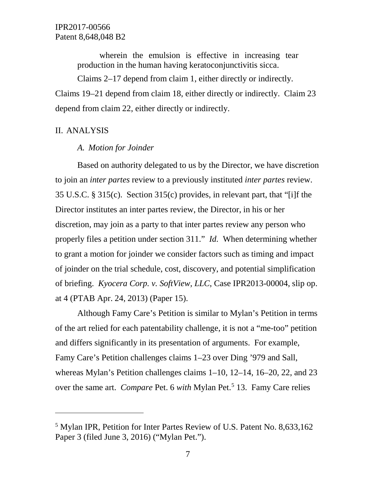wherein the emulsion is effective in increasing tear production in the human having keratoconjunctivitis sicca.

Claims 2–17 depend from claim 1, either directly or indirectly. Claims 19–21 depend from claim 18, either directly or indirectly. Claim 23 depend from claim 22, either directly or indirectly.

### II. ANALYSIS

 $\overline{a}$ 

#### *A. Motion for Joinder*

Based on authority delegated to us by the Director, we have discretion to join an *inter partes* review to a previously instituted *inter partes* review. 35 U.S.C. § 315(c). Section 315(c) provides, in relevant part, that "[i]f the Director institutes an inter partes review, the Director, in his or her discretion, may join as a party to that inter partes review any person who properly files a petition under section 311." *Id.* When determining whether to grant a motion for joinder we consider factors such as timing and impact of joinder on the trial schedule, cost, discovery, and potential simplification of briefing. *Kyocera Corp. v. SoftView, LLC*, Case IPR2013-00004, slip op. at 4 (PTAB Apr. 24, 2013) (Paper 15).

Although Famy Care's Petition is similar to Mylan's Petition in terms of the art relied for each patentability challenge, it is not a "me-too" petition and differs significantly in its presentation of arguments. For example, Famy Care's Petition challenges claims 1–23 over Ding '979 and Sall, whereas Mylan's Petition challenges claims 1–10, 12–14, 16–20, 22, and 23 over the same art. *Compare* Pet. 6 *with* Mylan Pet.<sup>[5](#page-6-0)</sup> 13. Famy Care relies

<span id="page-6-0"></span><sup>5</sup> Mylan IPR, Petition for Inter Partes Review of U.S. Patent No. 8,633,162 Paper 3 (filed June 3, 2016) ("Mylan Pet.").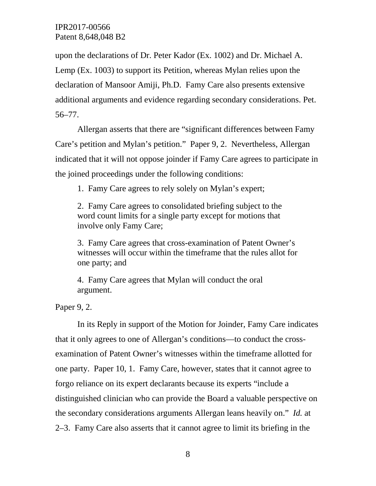upon the declarations of Dr. Peter Kador (Ex. 1002) and Dr. Michael A. Lemp (Ex. 1003) to support its Petition, whereas Mylan relies upon the declaration of Mansoor Amiji, Ph.D. Famy Care also presents extensive additional arguments and evidence regarding secondary considerations. Pet. 56–77.

Allergan asserts that there are "significant differences between Famy Care's petition and Mylan's petition." Paper 9, 2. Nevertheless, Allergan indicated that it will not oppose joinder if Famy Care agrees to participate in the joined proceedings under the following conditions:

1. Famy Care agrees to rely solely on Mylan's expert;

2. Famy Care agrees to consolidated briefing subject to the word count limits for a single party except for motions that involve only Famy Care;

3. Famy Care agrees that cross-examination of Patent Owner's witnesses will occur within the timeframe that the rules allot for one party; and

4. Famy Care agrees that Mylan will conduct the oral argument.

Paper 9, 2.

In its Reply in support of the Motion for Joinder, Famy Care indicates that it only agrees to one of Allergan's conditions—to conduct the crossexamination of Patent Owner's witnesses within the timeframe allotted for one party. Paper 10, 1. Famy Care, however, states that it cannot agree to forgo reliance on its expert declarants because its experts "include a distinguished clinician who can provide the Board a valuable perspective on the secondary considerations arguments Allergan leans heavily on." *Id.* at 2–3. Famy Care also asserts that it cannot agree to limit its briefing in the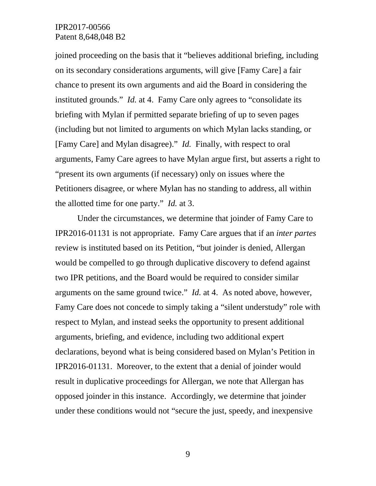joined proceeding on the basis that it "believes additional briefing, including on its secondary considerations arguments, will give [Famy Care] a fair chance to present its own arguments and aid the Board in considering the instituted grounds." *Id.* at 4. Famy Care only agrees to "consolidate its briefing with Mylan if permitted separate briefing of up to seven pages (including but not limited to arguments on which Mylan lacks standing, or [Famy Care] and Mylan disagree)." *Id.* Finally, with respect to oral arguments, Famy Care agrees to have Mylan argue first, but asserts a right to "present its own arguments (if necessary) only on issues where the Petitioners disagree, or where Mylan has no standing to address, all within the allotted time for one party." *Id.* at 3.

Under the circumstances, we determine that joinder of Famy Care to IPR2016-01131 is not appropriate. Famy Care argues that if an *inter partes* review is instituted based on its Petition, "but joinder is denied, Allergan would be compelled to go through duplicative discovery to defend against two IPR petitions, and the Board would be required to consider similar arguments on the same ground twice." *Id.* at 4. As noted above, however, Famy Care does not concede to simply taking a "silent understudy" role with respect to Mylan, and instead seeks the opportunity to present additional arguments, briefing, and evidence, including two additional expert declarations, beyond what is being considered based on Mylan's Petition in IPR2016-01131. Moreover, to the extent that a denial of joinder would result in duplicative proceedings for Allergan, we note that Allergan has opposed joinder in this instance. Accordingly, we determine that joinder under these conditions would not "secure the just, speedy, and inexpensive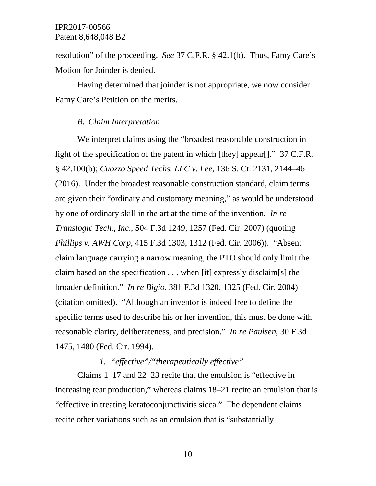resolution" of the proceeding. *See* 37 C.F.R. § 42.1(b). Thus, Famy Care's Motion for Joinder is denied.

Having determined that joinder is not appropriate, we now consider Famy Care's Petition on the merits.

### *B. Claim Interpretation*

We interpret claims using the "broadest reasonable construction in light of the specification of the patent in which [they] appear[]." 37 C.F.R. § 42.100(b); *Cuozzo Speed Techs. LLC v. Lee,* 136 S. Ct. 2131, 2144–46 (2016). Under the broadest reasonable construction standard, claim terms are given their "ordinary and customary meaning," as would be understood by one of ordinary skill in the art at the time of the invention. *In re Translogic Tech., Inc*., 504 F.3d 1249, 1257 (Fed. Cir. 2007) (quoting *Phillips v. AWH Corp*, 415 F.3d 1303, 1312 (Fed. Cir. 2006)). "Absent claim language carrying a narrow meaning, the PTO should only limit the claim based on the specification . . . when [it] expressly disclaim[s] the broader definition." *In re Bigio*, 381 F.3d 1320, 1325 (Fed. Cir. 2004) (citation omitted). "Although an inventor is indeed free to define the specific terms used to describe his or her invention, this must be done with reasonable clarity, deliberateness, and precision." *In re Paulsen*, 30 F.3d 1475, 1480 (Fed. Cir. 1994).

## *1. "effective"/"therapeutically effective"*

Claims 1–17 and 22–23 recite that the emulsion is "effective in increasing tear production," whereas claims 18–21 recite an emulsion that is "effective in treating keratoconjunctivitis sicca." The dependent claims recite other variations such as an emulsion that is "substantially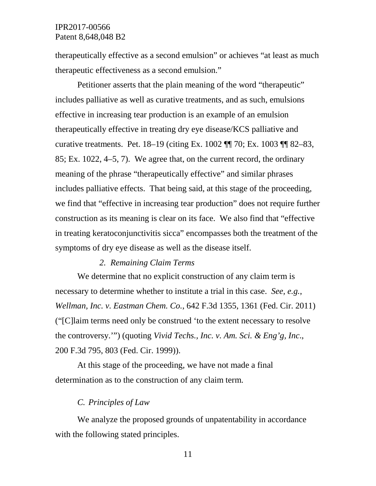therapeutically effective as a second emulsion" or achieves "at least as much therapeutic effectiveness as a second emulsion."

Petitioner asserts that the plain meaning of the word "therapeutic" includes palliative as well as curative treatments, and as such, emulsions effective in increasing tear production is an example of an emulsion therapeutically effective in treating dry eye disease/KCS palliative and curative treatments. Pet. 18–19 (citing Ex. 1002 ¶¶ 70; Ex. 1003 ¶¶ 82–83, 85; Ex. 1022, 4–5, 7). We agree that, on the current record, the ordinary meaning of the phrase "therapeutically effective" and similar phrases includes palliative effects. That being said, at this stage of the proceeding, we find that "effective in increasing tear production" does not require further construction as its meaning is clear on its face. We also find that "effective in treating keratoconjunctivitis sicca" encompasses both the treatment of the symptoms of dry eye disease as well as the disease itself.

#### *2. Remaining Claim Terms*

We determine that no explicit construction of any claim term is necessary to determine whether to institute a trial in this case. *See, e.g.*, *Wellman, Inc. v. Eastman Chem. Co.*, 642 F.3d 1355, 1361 (Fed. Cir. 2011) ("[C]laim terms need only be construed 'to the extent necessary to resolve the controversy.'") (quoting *Vivid Techs., Inc. v. Am. Sci. & Eng'g, Inc*., 200 F.3d 795, 803 (Fed. Cir. 1999)).

At this stage of the proceeding, we have not made a final determination as to the construction of any claim term.

#### *C. Principles of Law*

We analyze the proposed grounds of unpatentability in accordance with the following stated principles.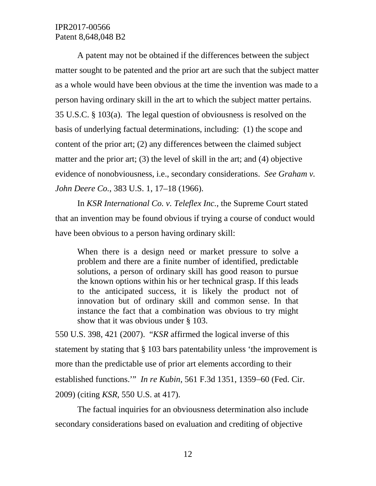A patent may not be obtained if the differences between the subject matter sought to be patented and the prior art are such that the subject matter as a whole would have been obvious at the time the invention was made to a person having ordinary skill in the art to which the subject matter pertains. 35 U.S.C. § 103(a). The legal question of obviousness is resolved on the basis of underlying factual determinations, including: (1) the scope and content of the prior art; (2) any differences between the claimed subject matter and the prior art; (3) the level of skill in the art; and (4) objective evidence of nonobviousness, i.e., secondary considerations. *See Graham v. John Deere Co.*, 383 U.S. 1, 17–18 (1966).

In *KSR International Co. v. Teleflex Inc.*, the Supreme Court stated that an invention may be found obvious if trying a course of conduct would have been obvious to a person having ordinary skill:

When there is a design need or market pressure to solve a problem and there are a finite number of identified, predictable solutions, a person of ordinary skill has good reason to pursue the known options within his or her technical grasp. If this leads to the anticipated success, it is likely the product not of innovation but of ordinary skill and common sense. In that instance the fact that a combination was obvious to try might show that it was obvious under § 103.

550 U.S. 398, 421 (2007). "*KSR* affirmed the logical inverse of this statement by stating that § 103 bars patentability unless 'the improvement is more than the predictable use of prior art elements according to their established functions.'" *In re Kubin*, 561 F.3d 1351, 1359−60 (Fed. Cir. 2009) (citing *KSR*, 550 U.S. at 417).

The factual inquiries for an obviousness determination also include secondary considerations based on evaluation and crediting of objective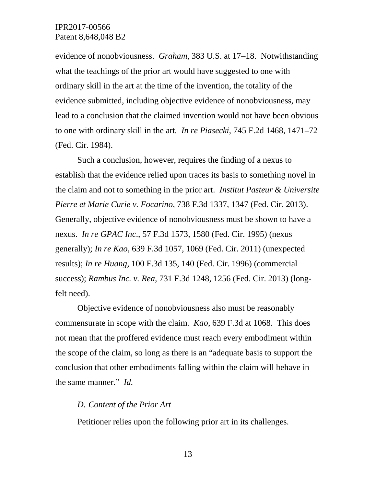evidence of nonobviousness. *Graham*, 383 U.S. at 17−18. Notwithstanding what the teachings of the prior art would have suggested to one with ordinary skill in the art at the time of the invention, the totality of the evidence submitted, including objective evidence of nonobviousness, may lead to a conclusion that the claimed invention would not have been obvious to one with ordinary skill in the art*. In re Piasecki*, 745 F.2d 1468, 1471–72 (Fed. Cir. 1984).

Such a conclusion, however, requires the finding of a nexus to establish that the evidence relied upon traces its basis to something novel in the claim and not to something in the prior art. *Institut Pasteur & Universite Pierre et Marie Curie v. Focarino*, 738 F.3d 1337, 1347 (Fed. Cir. 2013). Generally, objective evidence of nonobviousness must be shown to have a nexus. *In re GPAC Inc*., 57 F.3d 1573, 1580 (Fed. Cir. 1995) (nexus generally); *In re Kao*, 639 F.3d 1057, 1069 (Fed. Cir. 2011) (unexpected results); *In re Huang*, 100 F.3d 135, 140 (Fed. Cir. 1996) (commercial success); *Rambus Inc. v. Rea*, 731 F.3d 1248, 1256 (Fed. Cir. 2013) (longfelt need).

Objective evidence of nonobviousness also must be reasonably commensurate in scope with the claim. *Kao*, 639 F.3d at 1068. This does not mean that the proffered evidence must reach every embodiment within the scope of the claim, so long as there is an "adequate basis to support the conclusion that other embodiments falling within the claim will behave in the same manner." *Id.*

#### *D. Content of the Prior Art*

Petitioner relies upon the following prior art in its challenges.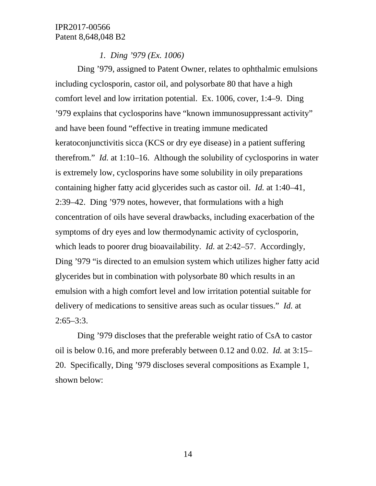*1. Ding '979 (Ex. 1006)* 

Ding '979, assigned to Patent Owner, relates to ophthalmic emulsions including cyclosporin, castor oil, and polysorbate 80 that have a high comfort level and low irritation potential. Ex. 1006, cover, 1:4–9. Ding '979 explains that cyclosporins have "known immunosuppressant activity" and have been found "effective in treating immune medicated keratoconjunctivitis sicca (KCS or dry eye disease) in a patient suffering therefrom." *Id.* at 1:10–16. Although the solubility of cyclosporins in water is extremely low, cyclosporins have some solubility in oily preparations containing higher fatty acid glycerides such as castor oil. *Id.* at 1:40–41, 2:39–42. Ding '979 notes, however, that formulations with a high concentration of oils have several drawbacks, including exacerbation of the symptoms of dry eyes and low thermodynamic activity of cyclosporin, which leads to poorer drug bioavailability. *Id.* at 2:42–57. Accordingly, Ding '979 "is directed to an emulsion system which utilizes higher fatty acid glycerides but in combination with polysorbate 80 which results in an emulsion with a high comfort level and low irritation potential suitable for delivery of medications to sensitive areas such as ocular tissues." *Id.* at 2:65–3:3.

Ding '979 discloses that the preferable weight ratio of CsA to castor oil is below 0.16, and more preferably between 0.12 and 0.02. *Id.* at 3:15– 20. Specifically, Ding '979 discloses several compositions as Example 1, shown below: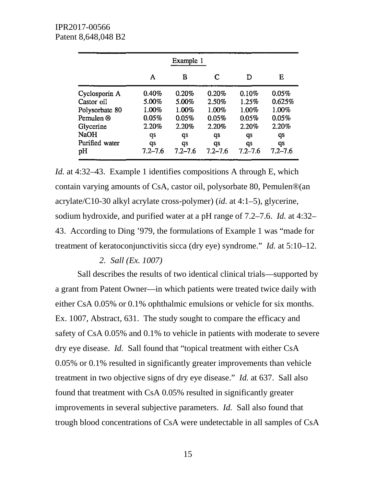|                | Example 1   |             |             |             |             |  |
|----------------|-------------|-------------|-------------|-------------|-------------|--|
|                | Α           | В           | C           | D           | Е           |  |
| Cyclosporin A  | 0.40%       | 0.20%       | 0.20%       | 0.10%       | 0.05%       |  |
| Castor oil     | 5.00%       | 5.00%       | 2.50%       | 1.25%       | 0.625%      |  |
| Polysorbate 80 | 1.00%       | 1.00%       | 1.00%       | 1.00%       | 1.00%       |  |
| Pemulen ®      | 0.05%       | 0.05%       | 0.05%       | 0.05%       | 0.05%       |  |
| Glycerine      | 2.20%       | 2.20%       | 2.20%       | 2.20%       | 2.20%       |  |
| NaOH           | qs          | qs          | qs          | qs          | qs          |  |
| Purified water | qs          | qs          | qs          | qs          | qs          |  |
| pН             | $7.2 - 7.6$ | $7.2 - 7.6$ | $7.2 - 7.6$ | $7.2 - 7.6$ | $7.2 - 7.6$ |  |

*Id.* at 4:32–43. Example 1 identifies compositions A through E, which contain varying amounts of CsA, castor oil, polysorbate 80, Pemulen®(an acrylate/C10-30 alkyl acrylate cross-polymer) (*id.* at 4:1–5), glycerine, sodium hydroxide, and purified water at a pH range of 7.2–7.6. *Id.* at 4:32– 43. According to Ding '979, the formulations of Example 1 was "made for treatment of keratoconjunctivitis sicca (dry eye) syndrome." *Id.* at 5:10–12.

#### *2. Sall (Ex. 1007)*

Sall describes the results of two identical clinical trials—supported by a grant from Patent Owner—in which patients were treated twice daily with either CsA 0.05% or 0.1% ophthalmic emulsions or vehicle for six months. Ex. 1007, Abstract, 631. The study sought to compare the efficacy and safety of CsA 0.05% and 0.1% to vehicle in patients with moderate to severe dry eye disease. *Id.* Sall found that "topical treatment with either CsA 0.05% or 0.1% resulted in significantly greater improvements than vehicle treatment in two objective signs of dry eye disease." *Id.* at 637. Sall also found that treatment with CsA 0.05% resulted in significantly greater improvements in several subjective parameters. *Id.* Sall also found that trough blood concentrations of CsA were undetectable in all samples of CsA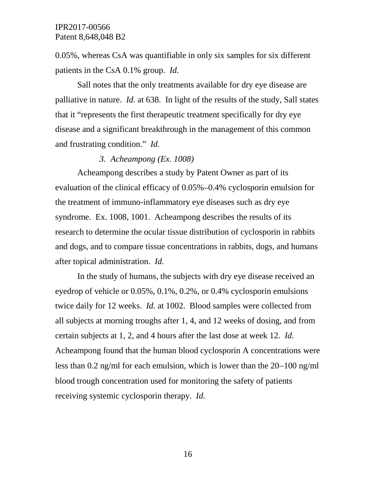0.05%, whereas CsA was quantifiable in only six samples for six different patients in the CsA 0.1% group. *Id.*

Sall notes that the only treatments available for dry eye disease are palliative in nature. *Id.* at 638. In light of the results of the study, Sall states that it "represents the first therapeutic treatment specifically for dry eye disease and a significant breakthrough in the management of this common and frustrating condition." *Id.*

#### *3. Acheampong (Ex. 1008)*

Acheampong describes a study by Patent Owner as part of its evaluation of the clinical efficacy of 0.05%–0.4% cyclosporin emulsion for the treatment of immuno-inflammatory eye diseases such as dry eye syndrome. Ex. 1008, 1001. Acheampong describes the results of its research to determine the ocular tissue distribution of cyclosporin in rabbits and dogs, and to compare tissue concentrations in rabbits, dogs, and humans after topical administration. *Id.*

In the study of humans, the subjects with dry eye disease received an eyedrop of vehicle or 0.05%, 0.1%, 0.2%, or 0.4% cyclosporin emulsions twice daily for 12 weeks. *Id.* at 1002. Blood samples were collected from all subjects at morning troughs after 1, 4, and 12 weeks of dosing, and from certain subjects at 1, 2, and 4 hours after the last dose at week 12. *Id.* Acheampong found that the human blood cyclosporin A concentrations were less than 0.2 ng/ml for each emulsion, which is lower than the 20−100 ng/ml blood trough concentration used for monitoring the safety of patients receiving systemic cyclosporin therapy. *Id.*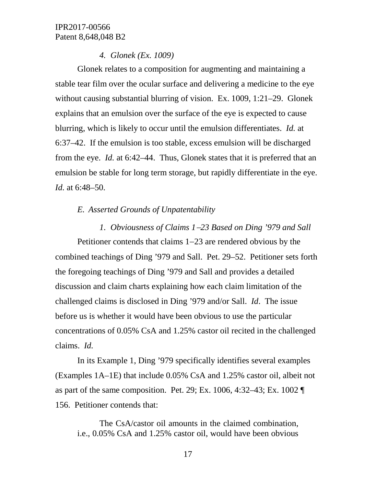### *4. Glonek (Ex. 1009)*

Glonek relates to a composition for augmenting and maintaining a stable tear film over the ocular surface and delivering a medicine to the eye without causing substantial blurring of vision. Ex. 1009, 1:21–29. Glonek explains that an emulsion over the surface of the eye is expected to cause blurring, which is likely to occur until the emulsion differentiates. *Id.* at 6:37–42. If the emulsion is too stable, excess emulsion will be discharged from the eye. *Id.* at 6:42–44. Thus, Glonek states that it is preferred that an emulsion be stable for long term storage, but rapidly differentiate in the eye. *Id.* at 6:48–50.

## *E. Asserted Grounds of Unpatentability*

*1. Obviousness of Claims 1*−*23 Based on Ding '979 and Sall* Petitioner contends that claims 1−23 are rendered obvious by the combined teachings of Ding '979 and Sall. Pet. 29–52. Petitioner sets forth the foregoing teachings of Ding '979 and Sall and provides a detailed discussion and claim charts explaining how each claim limitation of the challenged claims is disclosed in Ding '979 and/or Sall. *Id*. The issue before us is whether it would have been obvious to use the particular concentrations of 0.05% CsA and 1.25% castor oil recited in the challenged claims. *Id.*

In its Example 1, Ding '979 specifically identifies several examples (Examples 1A–1E) that include 0.05% CsA and 1.25% castor oil, albeit not as part of the same composition. Pet. 29; Ex. 1006, 4:32–43; Ex. 1002 ¶ 156. Petitioner contends that:

The CsA/castor oil amounts in the claimed combination, i.e., 0.05% CsA and 1.25% castor oil, would have been obvious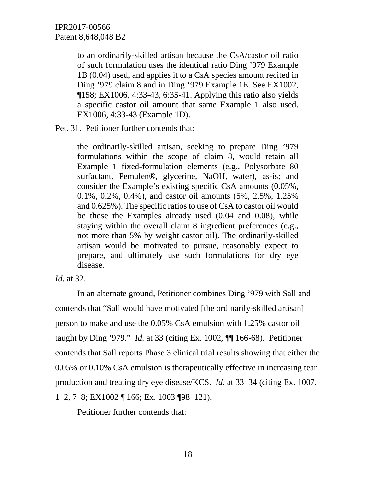to an ordinarily-skilled artisan because the CsA/castor oil ratio of such formulation uses the identical ratio Ding '979 Example 1B (0.04) used, and applies it to a CsA species amount recited in Ding '979 claim 8 and in Ding '979 Example 1E. See EX1002, ¶158; EX1006, 4:33-43, 6:35-41. Applying this ratio also yields a specific castor oil amount that same Example 1 also used. EX1006, 4:33-43 (Example 1D).

Pet. 31. Petitioner further contends that:

the ordinarily-skilled artisan, seeking to prepare Ding '979 formulations within the scope of claim 8, would retain all Example 1 fixed-formulation elements (e.g., Polysorbate 80 surfactant, Pemulen®, glycerine, NaOH, water), as-is; and consider the Example's existing specific CsA amounts (0.05%, 0.1%, 0.2%, 0.4%), and castor oil amounts (5%, 2.5%, 1.25% and 0.625%). The specific ratios to use of CsA to castor oil would be those the Examples already used (0.04 and 0.08), while staying within the overall claim 8 ingredient preferences (e.g., not more than 5% by weight castor oil). The ordinarily-skilled artisan would be motivated to pursue, reasonably expect to prepare, and ultimately use such formulations for dry eye disease.

## *Id.* at 32.

In an alternate ground, Petitioner combines Ding '979 with Sall and contends that "Sall would have motivated [the ordinarily-skilled artisan] person to make and use the 0.05% CsA emulsion with 1.25% castor oil taught by Ding '979." *Id.* at 33 (citing Ex. 1002, ¶¶ 166-68). Petitioner contends that Sall reports Phase 3 clinical trial results showing that either the 0.05% or 0.10% CsA emulsion is therapeutically effective in increasing tear production and treating dry eye disease/KCS. *Id.* at 33–34 (citing Ex. 1007, 1–2, 7–8; EX1002 ¶ 166; Ex. 1003 ¶98–121).

Petitioner further contends that: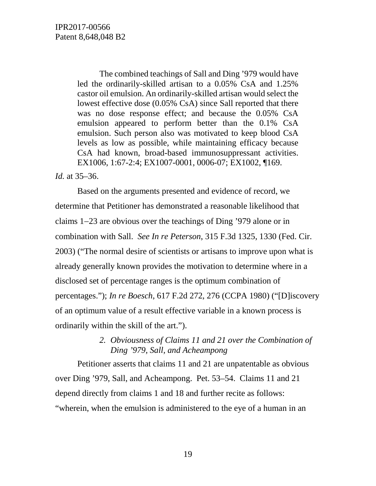The combined teachings of Sall and Ding '979 would have led the ordinarily-skilled artisan to a 0.05% CsA and 1.25% castor oil emulsion. An ordinarily-skilled artisan would select the lowest effective dose (0.05% CsA) since Sall reported that there was no dose response effect; and because the 0.05% CsA emulsion appeared to perform better than the 0.1% CsA emulsion. Such person also was motivated to keep blood CsA levels as low as possible, while maintaining efficacy because CsA had known, broad-based immunosuppressant activities. EX1006, 1:67-2:4; EX1007-0001, 0006-07; EX1002, ¶169.

### *Id.* at 35–36.

Based on the arguments presented and evidence of record, we determine that Petitioner has demonstrated a reasonable likelihood that claims 1−23 are obvious over the teachings of Ding '979 alone or in combination with Sall. *See In re Peterson*, 315 F.3d 1325, 1330 (Fed. Cir. 2003) ("The normal desire of scientists or artisans to improve upon what is already generally known provides the motivation to determine where in a disclosed set of percentage ranges is the optimum combination of percentages."); *In re Boesch*, 617 F.2d 272, 276 (CCPA 1980) ("[D]iscovery of an optimum value of a result effective variable in a known process is ordinarily within the skill of the art.").

## *2. Obviousness of Claims 11 and 21 over the Combination of Ding '979, Sall, and Acheampong*

Petitioner asserts that claims 11 and 21 are unpatentable as obvious over Ding '979, Sall, and Acheampong. Pet. 53–54. Claims 11 and 21 depend directly from claims 1 and 18 and further recite as follows: "wherein, when the emulsion is administered to the eye of a human in an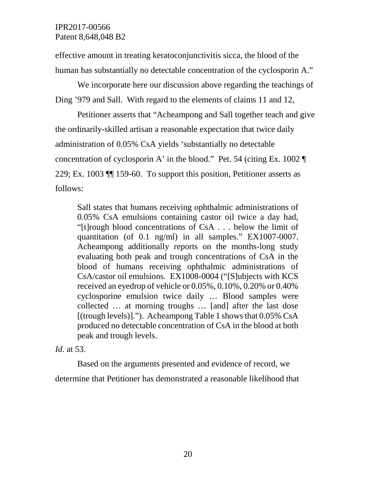effective amount in treating keratoconjunctivitis sicca, the blood of the human has substantially no detectable concentration of the cyclosporin A."

We incorporate here our discussion above regarding the teachings of Ding '979 and Sall. With regard to the elements of claims 11 and 12,

Petitioner asserts that "Acheampong and Sall together teach and give the ordinarily-skilled artisan a reasonable expectation that twice daily administration of 0.05% CsA yields 'substantially no detectable concentration of cyclosporin A' in the blood." Pet. 54 (citing Ex. 1002 ¶ 229; Ex. 1003 ¶¶ 159-60. To support this position, Petitioner asserts as follows:

Sall states that humans receiving ophthalmic administrations of 0.05% CsA emulsions containing castor oil twice a day had, "[t]rough blood concentrations of CsA . . . below the limit of quantitation (of 0.1 ng/ml) in all samples." EX1007-0007. Acheampong additionally reports on the months-long study evaluating both peak and trough concentrations of CsA in the blood of humans receiving ophthalmic administrations of CsA/castor oil emulsions. EX1008-0004 ("[S]ubjects with KCS received an eyedrop of vehicle or 0.05%, 0.10%, 0.20% or 0.40% cyclosporine emulsion twice daily … Blood samples were collected … at morning troughs … [and] after the last dose [(trough levels)]."). Acheampong Table 1 shows that 0.05% CsA produced no detectable concentration of CsA in the blood at both peak and trough levels.

*Id.* at 53.

Based on the arguments presented and evidence of record, we determine that Petitioner has demonstrated a reasonable likelihood that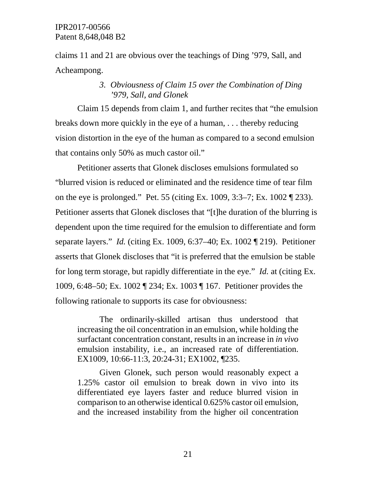claims 11 and 21 are obvious over the teachings of Ding '979, Sall, and Acheampong.

## *3. Obviousness of Claim 15 over the Combination of Ding '979, Sall, and Glonek*

Claim 15 depends from claim 1, and further recites that "the emulsion breaks down more quickly in the eye of a human, . . . thereby reducing vision distortion in the eye of the human as compared to a second emulsion that contains only 50% as much castor oil."

Petitioner asserts that Glonek discloses emulsions formulated so "blurred vision is reduced or eliminated and the residence time of tear film on the eye is prolonged." Pet. 55 (citing Ex. 1009, 3:3–7; Ex. 1002 ¶ 233). Petitioner asserts that Glonek discloses that "[t]he duration of the blurring is dependent upon the time required for the emulsion to differentiate and form separate layers." *Id.* (citing Ex. 1009, 6:37–40; Ex. 1002 ¶ 219). Petitioner asserts that Glonek discloses that "it is preferred that the emulsion be stable for long term storage, but rapidly differentiate in the eye." *Id.* at (citing Ex. 1009, 6:48–50; Ex. 1002 ¶ 234; Ex. 1003 ¶ 167. Petitioner provides the following rationale to supports its case for obviousness:

The ordinarily-skilled artisan thus understood that increasing the oil concentration in an emulsion, while holding the surfactant concentration constant, results in an increase in *in vivo* emulsion instability, i.e., an increased rate of differentiation. EX1009, 10:66-11:3, 20:24-31; EX1002, ¶235.

Given Glonek, such person would reasonably expect a 1.25% castor oil emulsion to break down in vivo into its differentiated eye layers faster and reduce blurred vision in comparison to an otherwise identical 0.625% castor oil emulsion, and the increased instability from the higher oil concentration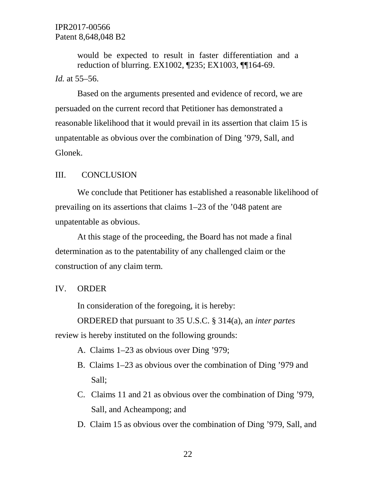would be expected to result in faster differentiation and a reduction of blurring. EX1002, ¶235; EX1003, ¶¶164-69. *Id.* at 55–56.

Based on the arguments presented and evidence of record, we are persuaded on the current record that Petitioner has demonstrated a reasonable likelihood that it would prevail in its assertion that claim 15 is unpatentable as obvious over the combination of Ding '979, Sall, and Glonek.

#### III. CONCLUSION

We conclude that Petitioner has established a reasonable likelihood of prevailing on its assertions that claims 1–23 of the '048 patent are unpatentable as obvious.

At this stage of the proceeding, the Board has not made a final determination as to the patentability of any challenged claim or the construction of any claim term.

#### IV. ORDER

In consideration of the foregoing, it is hereby:

ORDERED that pursuant to 35 U.S.C. § 314(a), an *inter partes*

review is hereby instituted on the following grounds:

- A. Claims 1–23 as obvious over Ding '979;
- B. Claims 1–23 as obvious over the combination of Ding '979 and Sall;
- C. Claims 11 and 21 as obvious over the combination of Ding '979, Sall, and Acheampong; and
- D. Claim 15 as obvious over the combination of Ding '979, Sall, and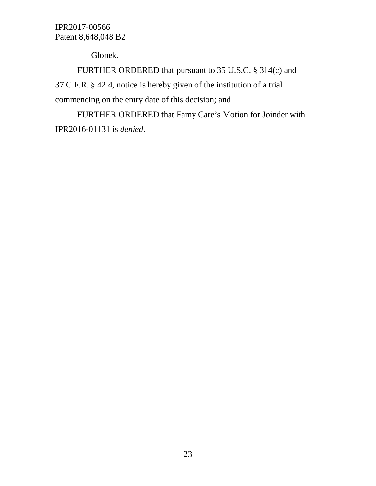Glonek.

FURTHER ORDERED that pursuant to 35 U.S.C. § 314(c) and 37 C.F.R. § 42.4, notice is hereby given of the institution of a trial commencing on the entry date of this decision; and

FURTHER ORDERED that Famy Care's Motion for Joinder with IPR2016-01131 is *denied*.